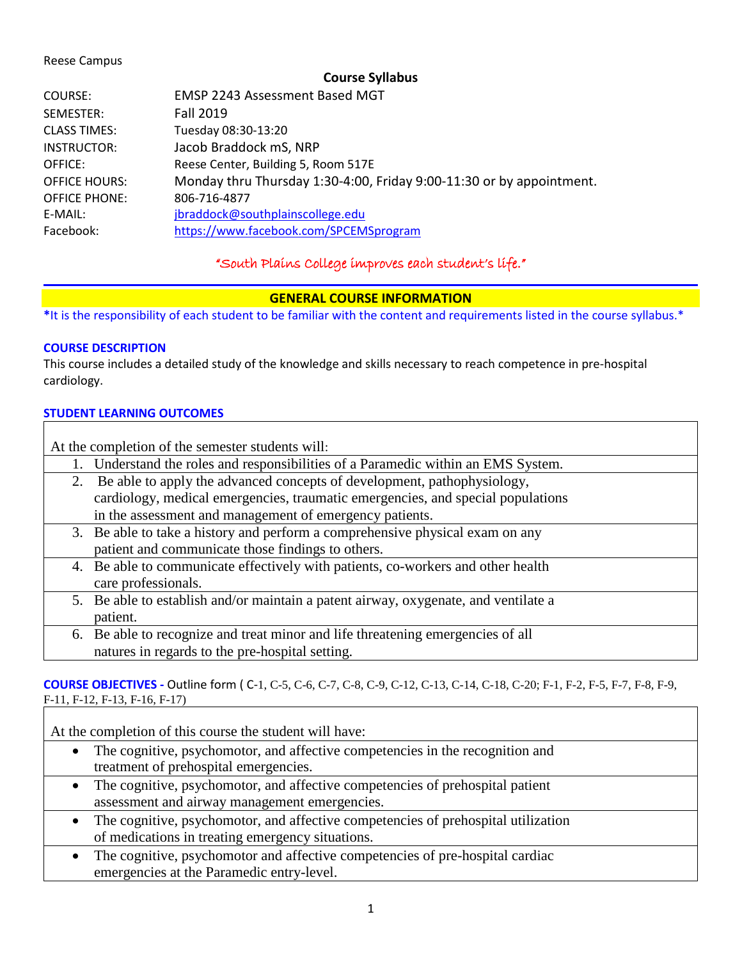#### Reese Campus

**Course Syllabus**

| COURSE:              | EMSP 2243 Assessment Based MGT                                       |
|----------------------|----------------------------------------------------------------------|
| SEMESTER:            | <b>Fall 2019</b>                                                     |
| <b>CLASS TIMES:</b>  | Tuesday 08:30-13:20                                                  |
| INSTRUCTOR:          | Jacob Braddock mS, NRP                                               |
| OFFICE:              | Reese Center, Building 5, Room 517E                                  |
| <b>OFFICE HOURS:</b> | Monday thru Thursday 1:30-4:00, Friday 9:00-11:30 or by appointment. |
| <b>OFFICE PHONE:</b> | 806-716-4877                                                         |
| E-MAIL:              | jbraddock@southplainscollege.edu                                     |
| Facebook:            | https://www.facebook.com/SPCEMSprogram                               |

"South Plains College improves each student's life."

## **GENERAL COURSE INFORMATION**

**\***It is the responsibility of each student to be familiar with the content and requirements listed in the course syllabus.\*

## **COURSE DESCRIPTION**

This course includes a detailed study of the knowledge and skills necessary to reach competence in pre-hospital cardiology.

### **STUDENT LEARNING OUTCOMES**

| At the completion of the semester students will: |                                                                                     |  |  |
|--------------------------------------------------|-------------------------------------------------------------------------------------|--|--|
|                                                  | Understand the roles and responsibilities of a Paramedic within an EMS System.      |  |  |
|                                                  | Be able to apply the advanced concepts of development, pathophysiology,<br>2.       |  |  |
|                                                  | cardiology, medical emergencies, traumatic emergencies, and special populations     |  |  |
|                                                  | in the assessment and management of emergency patients.                             |  |  |
|                                                  | 3. Be able to take a history and perform a comprehensive physical exam on any       |  |  |
|                                                  | patient and communicate those findings to others.                                   |  |  |
|                                                  | 4. Be able to communicate effectively with patients, co-workers and other health    |  |  |
|                                                  | care professionals.                                                                 |  |  |
|                                                  | 5. Be able to establish and/or maintain a patent airway, oxygenate, and ventilate a |  |  |
|                                                  | patient.                                                                            |  |  |
|                                                  | 6. Be able to recognize and treat minor and life threatening emergencies of all     |  |  |
|                                                  | natures in regards to the pre-hospital setting.                                     |  |  |

### **COURSE OBJECTIVES -** Outline form ( C-1, C-5, C-6, C-7, C-8, C-9, C-12, C-13, C-14, C-18, C-20; F-1, F-2, F-5, F-7, F-8, F-9, F-11, F-12, F-13, F-16, F-17)

At the completion of this course the student will have:

- The cognitive, psychomotor, and affective competencies in the recognition and treatment of prehospital emergencies.
- The cognitive, psychomotor, and affective competencies of prehospital patient assessment and airway management emergencies.
- The cognitive, psychomotor, and affective competencies of prehospital utilization of medications in treating emergency situations.
- The cognitive, psychomotor and affective competencies of pre-hospital cardiac emergencies at the Paramedic entry-level.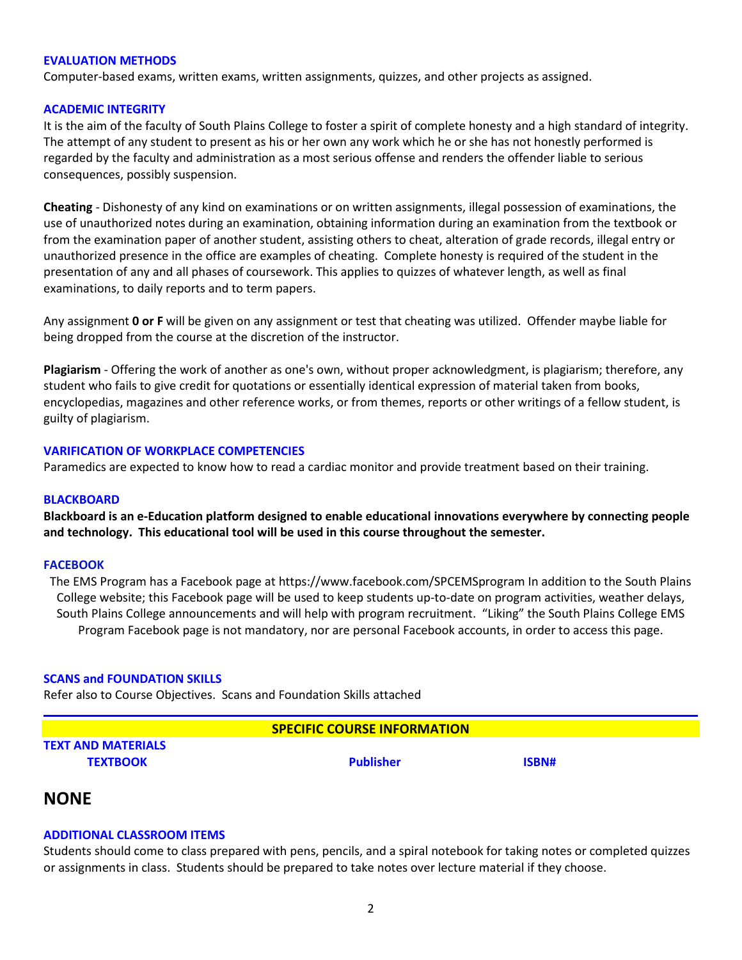#### **EVALUATION METHODS**

Computer-based exams, written exams, written assignments, quizzes, and other projects as assigned.

#### **ACADEMIC INTEGRITY**

It is the aim of the faculty of South Plains College to foster a spirit of complete honesty and a high standard of integrity. The attempt of any student to present as his or her own any work which he or she has not honestly performed is regarded by the faculty and administration as a most serious offense and renders the offender liable to serious consequences, possibly suspension.

**Cheating** - Dishonesty of any kind on examinations or on written assignments, illegal possession of examinations, the use of unauthorized notes during an examination, obtaining information during an examination from the textbook or from the examination paper of another student, assisting others to cheat, alteration of grade records, illegal entry or unauthorized presence in the office are examples of cheating. Complete honesty is required of the student in the presentation of any and all phases of coursework. This applies to quizzes of whatever length, as well as final examinations, to daily reports and to term papers.

Any assignment **0 or F** will be given on any assignment or test that cheating was utilized. Offender maybe liable for being dropped from the course at the discretion of the instructor.

**Plagiarism** - Offering the work of another as one's own, without proper acknowledgment, is plagiarism; therefore, any student who fails to give credit for quotations or essentially identical expression of material taken from books, encyclopedias, magazines and other reference works, or from themes, reports or other writings of a fellow student, is guilty of plagiarism.

#### **VARIFICATION OF WORKPLACE COMPETENCIES**

Paramedics are expected to know how to read a cardiac monitor and provide treatment based on their training.

#### **BLACKBOARD**

**Blackboard is an e-Education platform designed to enable educational innovations everywhere by connecting people and technology. This educational tool will be used in this course throughout the semester.** 

#### **FACEBOOK**

The EMS Program has a Facebook page at https://www.facebook.com/SPCEMSprogram In addition to the South Plains College website; this Facebook page will be used to keep students up-to-date on program activities, weather delays, South Plains College announcements and will help with program recruitment. "Liking" the South Plains College EMS Program Facebook page is not mandatory, nor are personal Facebook accounts, in order to access this page.

#### **SCANS and FOUNDATION SKILLS**

Refer also to Course Objectives. Scans and Foundation Skills attached

# **SPECIFIC COURSE INFORMATION TEXT AND MATERIALS TEXTBOOK Publisher ISBN#**

## **NONE**

#### **ADDITIONAL CLASSROOM ITEMS**

Students should come to class prepared with pens, pencils, and a spiral notebook for taking notes or completed quizzes or assignments in class. Students should be prepared to take notes over lecture material if they choose.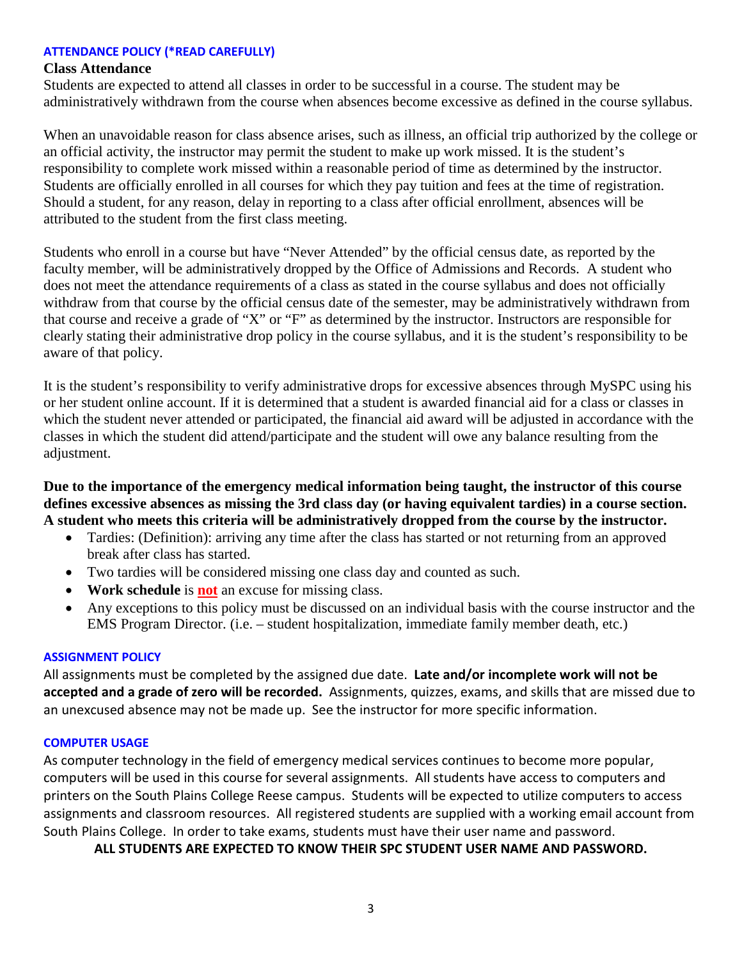### **ATTENDANCE POLICY (\*READ CAREFULLY)**

#### **Class Attendance**

Students are expected to attend all classes in order to be successful in a course. The student may be administratively withdrawn from the course when absences become excessive as defined in the course syllabus.

When an unavoidable reason for class absence arises, such as illness, an official trip authorized by the college or an official activity, the instructor may permit the student to make up work missed. It is the student's responsibility to complete work missed within a reasonable period of time as determined by the instructor. Students are officially enrolled in all courses for which they pay tuition and fees at the time of registration. Should a student, for any reason, delay in reporting to a class after official enrollment, absences will be attributed to the student from the first class meeting.

Students who enroll in a course but have "Never Attended" by the official census date, as reported by the faculty member, will be administratively dropped by the Office of Admissions and Records. A student who does not meet the attendance requirements of a class as stated in the course syllabus and does not officially withdraw from that course by the official census date of the semester, may be administratively withdrawn from that course and receive a grade of "X" or "F" as determined by the instructor. Instructors are responsible for clearly stating their administrative drop policy in the course syllabus, and it is the student's responsibility to be aware of that policy.

It is the student's responsibility to verify administrative drops for excessive absences through MySPC using his or her student online account. If it is determined that a student is awarded financial aid for a class or classes in which the student never attended or participated, the financial aid award will be adjusted in accordance with the classes in which the student did attend/participate and the student will owe any balance resulting from the adjustment.

**Due to the importance of the emergency medical information being taught, the instructor of this course defines excessive absences as missing the 3rd class day (or having equivalent tardies) in a course section. A student who meets this criteria will be administratively dropped from the course by the instructor.** 

- Tardies: (Definition): arriving any time after the class has started or not returning from an approved break after class has started.
- Two tardies will be considered missing one class day and counted as such.
- **Work schedule** is **not** an excuse for missing class.
- Any exceptions to this policy must be discussed on an individual basis with the course instructor and the EMS Program Director. (i.e. – student hospitalization, immediate family member death, etc.)

#### **ASSIGNMENT POLICY**

All assignments must be completed by the assigned due date. **Late and/or incomplete work will not be accepted and a grade of zero will be recorded.** Assignments, quizzes, exams, and skills that are missed due to an unexcused absence may not be made up. See the instructor for more specific information.

#### **COMPUTER USAGE**

As computer technology in the field of emergency medical services continues to become more popular, computers will be used in this course for several assignments. All students have access to computers and printers on the South Plains College Reese campus. Students will be expected to utilize computers to access assignments and classroom resources. All registered students are supplied with a working email account from South Plains College. In order to take exams, students must have their user name and password.

**ALL STUDENTS ARE EXPECTED TO KNOW THEIR SPC STUDENT USER NAME AND PASSWORD.**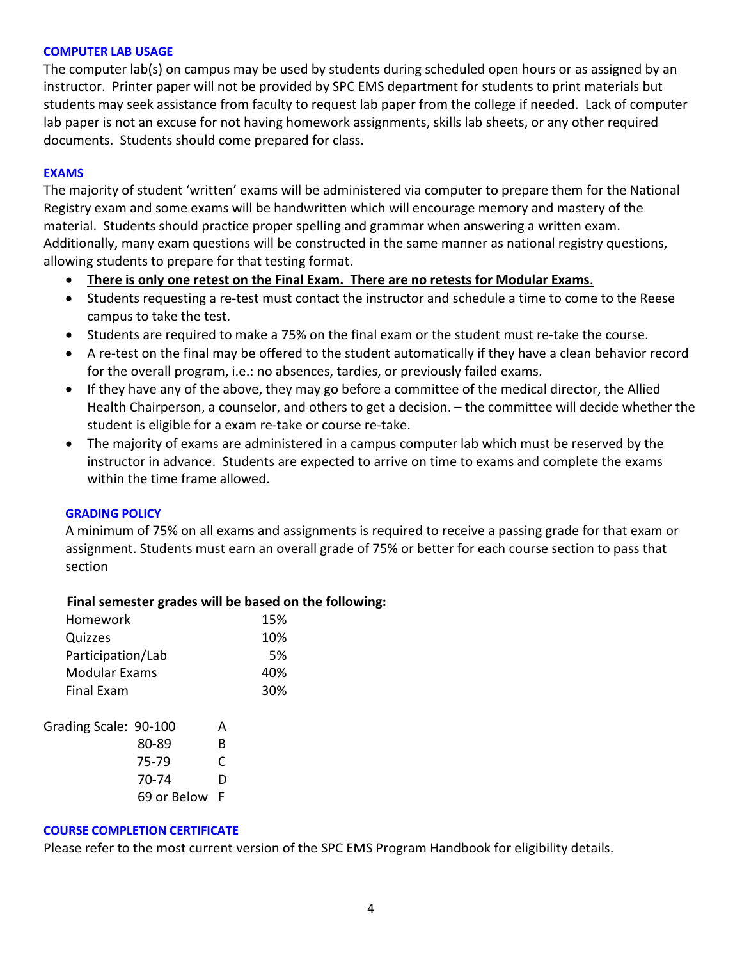#### **COMPUTER LAB USAGE**

The computer lab(s) on campus may be used by students during scheduled open hours or as assigned by an instructor. Printer paper will not be provided by SPC EMS department for students to print materials but students may seek assistance from faculty to request lab paper from the college if needed. Lack of computer lab paper is not an excuse for not having homework assignments, skills lab sheets, or any other required documents. Students should come prepared for class.

## **EXAMS**

The majority of student 'written' exams will be administered via computer to prepare them for the National Registry exam and some exams will be handwritten which will encourage memory and mastery of the material. Students should practice proper spelling and grammar when answering a written exam. Additionally, many exam questions will be constructed in the same manner as national registry questions, allowing students to prepare for that testing format.

- **There is only one retest on the Final Exam. There are no retests for Modular Exams**.
- Students requesting a re-test must contact the instructor and schedule a time to come to the Reese campus to take the test.
- Students are required to make a 75% on the final exam or the student must re-take the course.
- A re-test on the final may be offered to the student automatically if they have a clean behavior record for the overall program, i.e.: no absences, tardies, or previously failed exams.
- If they have any of the above, they may go before a committee of the medical director, the Allied Health Chairperson, a counselor, and others to get a decision. – the committee will decide whether the student is eligible for a exam re-take or course re-take.
- The majority of exams are administered in a campus computer lab which must be reserved by the instructor in advance. Students are expected to arrive on time to exams and complete the exams within the time frame allowed.

#### **GRADING POLICY**

A minimum of 75% on all exams and assignments is required to receive a passing grade for that exam or assignment. Students must earn an overall grade of 75% or better for each course section to pass that section

## **Final semester grades will be based on the following:**

| Homework              |             |     | 15% |
|-----------------------|-------------|-----|-----|
| Quizzes               |             | 10% |     |
| Participation/Lab     |             | 5%  |     |
| Modular Exams         |             | 40% |     |
| <b>Final Exam</b>     |             |     | 30% |
| Grading Scale: 90-100 |             | А   |     |
|                       | 80-89       | B   |     |
|                       | 75-79       | C   |     |
|                       | 70-74       | D   |     |
|                       | 69 or Below | F   |     |

#### **COURSE COMPLETION CERTIFICATE**

Please refer to the most current version of the SPC EMS Program Handbook for eligibility details.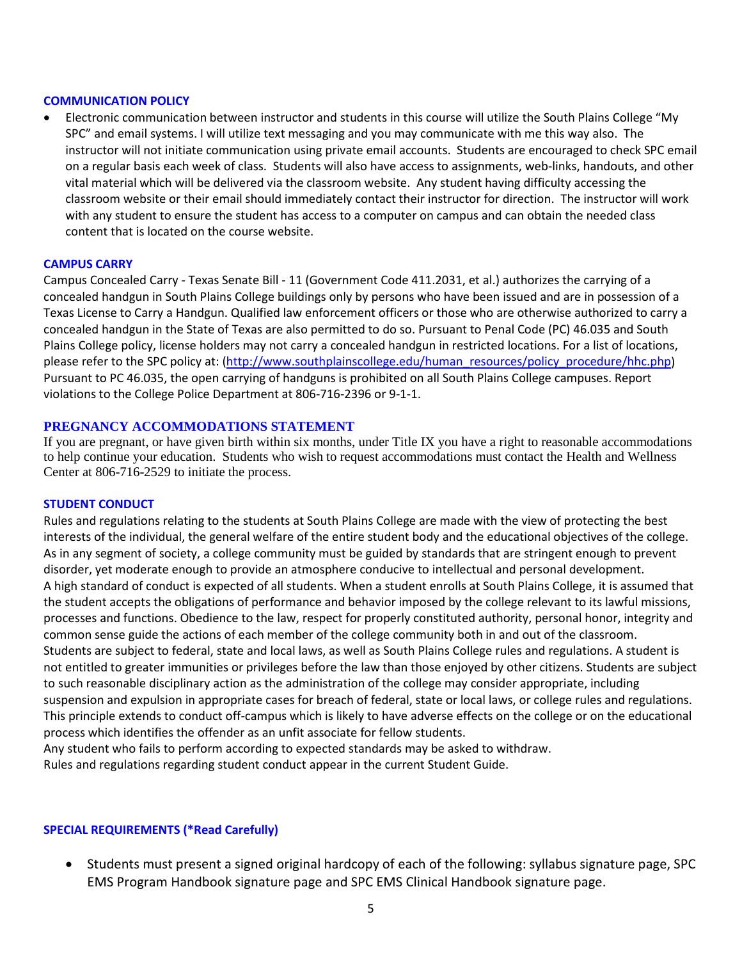#### **COMMUNICATION POLICY**

• Electronic communication between instructor and students in this course will utilize the South Plains College "My SPC" and email systems. I will utilize text messaging and you may communicate with me this way also. The instructor will not initiate communication using private email accounts. Students are encouraged to check SPC email on a regular basis each week of class. Students will also have access to assignments, web-links, handouts, and other vital material which will be delivered via the classroom website. Any student having difficulty accessing the classroom website or their email should immediately contact their instructor for direction. The instructor will work with any student to ensure the student has access to a computer on campus and can obtain the needed class content that is located on the course website.

#### **CAMPUS CARRY**

Campus Concealed Carry - Texas Senate Bill - 11 (Government Code 411.2031, et al.) authorizes the carrying of a concealed handgun in South Plains College buildings only by persons who have been issued and are in possession of a Texas License to Carry a Handgun. Qualified law enforcement officers or those who are otherwise authorized to carry a concealed handgun in the State of Texas are also permitted to do so. Pursuant to Penal Code (PC) 46.035 and South Plains College policy, license holders may not carry a concealed handgun in restricted locations. For a list of locations, please refer to the SPC policy at: [\(http://www.southplainscollege.edu/human\\_resources/policy\\_procedure/hhc.php\)](http://www.southplainscollege.edu/human_resources/policy_procedure/hhc.php) Pursuant to PC 46.035, the open carrying of handguns is prohibited on all South Plains College campuses. Report violations to the College Police Department at 806-716-2396 or 9-1-1.

#### **PREGNANCY ACCOMMODATIONS STATEMENT**

If you are pregnant, or have given birth within six months, under Title IX you have a right to reasonable accommodations to help continue your education. Students who wish to request accommodations must contact the Health and Wellness Center at 806-716-2529 to initiate the process.

#### **STUDENT CONDUCT**

Rules and regulations relating to the students at South Plains College are made with the view of protecting the best interests of the individual, the general welfare of the entire student body and the educational objectives of the college. As in any segment of society, a college community must be guided by standards that are stringent enough to prevent disorder, yet moderate enough to provide an atmosphere conducive to intellectual and personal development. A high standard of conduct is expected of all students. When a student enrolls at South Plains College, it is assumed that the student accepts the obligations of performance and behavior imposed by the college relevant to its lawful missions, processes and functions. Obedience to the law, respect for properly constituted authority, personal honor, integrity and common sense guide the actions of each member of the college community both in and out of the classroom. Students are subject to federal, state and local laws, as well as South Plains College rules and regulations. A student is not entitled to greater immunities or privileges before the law than those enjoyed by other citizens. Students are subject to such reasonable disciplinary action as the administration of the college may consider appropriate, including suspension and expulsion in appropriate cases for breach of federal, state or local laws, or college rules and regulations. This principle extends to conduct off-campus which is likely to have adverse effects on the college or on the educational process which identifies the offender as an unfit associate for fellow students.

Any student who fails to perform according to expected standards may be asked to withdraw. Rules and regulations regarding student conduct appear in the current Student Guide.

#### **SPECIAL REQUIREMENTS (\*Read Carefully)**

• Students must present a signed original hardcopy of each of the following: syllabus signature page, SPC EMS Program Handbook signature page and SPC EMS Clinical Handbook signature page.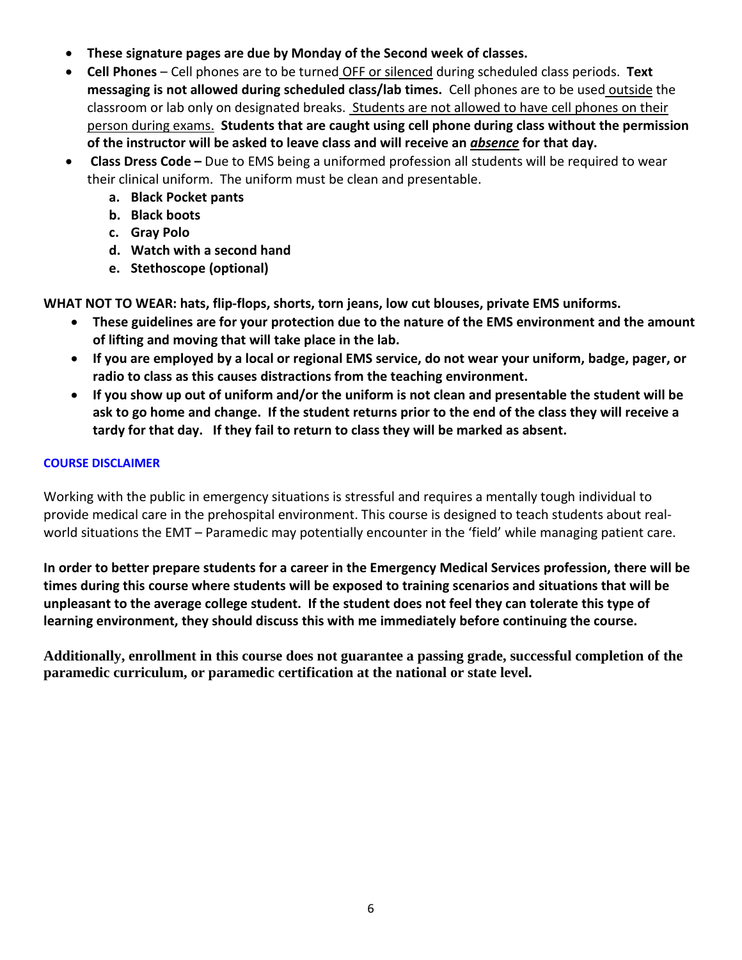- **These signature pages are due by Monday of the Second week of classes.**
- **Cell Phones** Cell phones are to be turned OFF or silenced during scheduled class periods. **Text messaging is not allowed during scheduled class/lab times.** Cell phones are to be used outside the classroom or lab only on designated breaks. Students are not allowed to have cell phones on their person during exams. **Students that are caught using cell phone during class without the permission of the instructor will be asked to leave class and will receive an** *absence* **for that day.**
- **Class Dress Code –** Due to EMS being a uniformed profession all students will be required to wear their clinical uniform. The uniform must be clean and presentable.
	- **a. Black Pocket pants**
	- **b. Black boots**
	- **c. Gray Polo**
	- **d. Watch with a second hand**
	- **e. Stethoscope (optional)**

**WHAT NOT TO WEAR: hats, flip-flops, shorts, torn jeans, low cut blouses, private EMS uniforms.**

- **These guidelines are for your protection due to the nature of the EMS environment and the amount of lifting and moving that will take place in the lab.**
- **If you are employed by a local or regional EMS service, do not wear your uniform, badge, pager, or radio to class as this causes distractions from the teaching environment.**
- **If you show up out of uniform and/or the uniform is not clean and presentable the student will be ask to go home and change. If the student returns prior to the end of the class they will receive a tardy for that day. If they fail to return to class they will be marked as absent.**

## **COURSE DISCLAIMER**

Working with the public in emergency situations is stressful and requires a mentally tough individual to provide medical care in the prehospital environment. This course is designed to teach students about realworld situations the EMT – Paramedic may potentially encounter in the 'field' while managing patient care.

**In order to better prepare students for a career in the Emergency Medical Services profession, there will be times during this course where students will be exposed to training scenarios and situations that will be unpleasant to the average college student. If the student does not feel they can tolerate this type of learning environment, they should discuss this with me immediately before continuing the course.**

**Additionally, enrollment in this course does not guarantee a passing grade, successful completion of the paramedic curriculum, or paramedic certification at the national or state level.**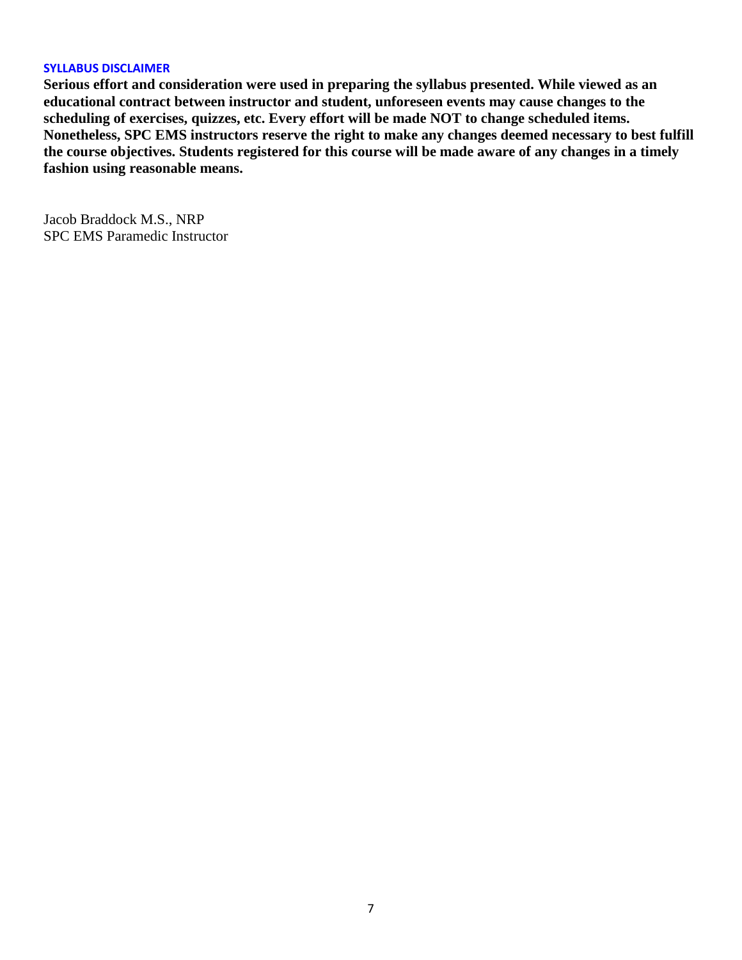#### **SYLLABUS DISCLAIMER**

**Serious effort and consideration were used in preparing the syllabus presented. While viewed as an educational contract between instructor and student, unforeseen events may cause changes to the scheduling of exercises, quizzes, etc. Every effort will be made NOT to change scheduled items. Nonetheless, SPC EMS instructors reserve the right to make any changes deemed necessary to best fulfill the course objectives. Students registered for this course will be made aware of any changes in a timely fashion using reasonable means.** 

Jacob Braddock M.S., NRP SPC EMS Paramedic Instructor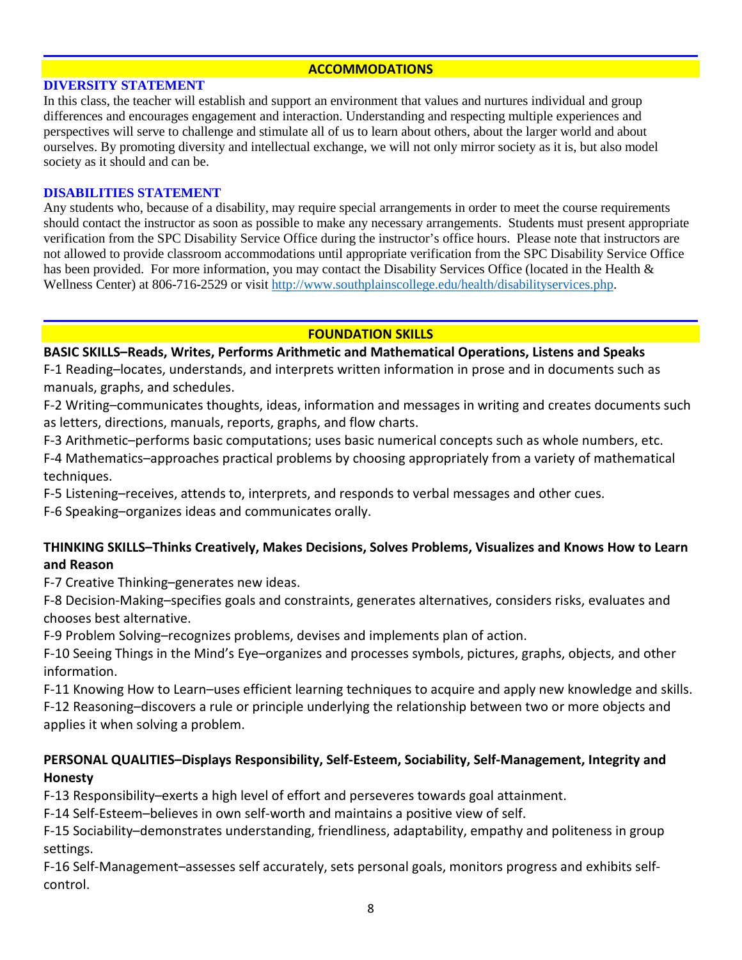#### **ACCOMMODATIONS**

#### **DIVERSITY STATEMENT**

In this class, the teacher will establish and support an environment that values and nurtures individual and group differences and encourages engagement and interaction. Understanding and respecting multiple experiences and perspectives will serve to challenge and stimulate all of us to learn about others, about the larger world and about ourselves. By promoting diversity and intellectual exchange, we will not only mirror society as it is, but also model society as it should and can be.

#### **DISABILITIES STATEMENT**

Any students who, because of a disability, may require special arrangements in order to meet the course requirements should contact the instructor as soon as possible to make any necessary arrangements. Students must present appropriate verification from the SPC Disability Service Office during the instructor's office hours. Please note that instructors are not allowed to provide classroom accommodations until appropriate verification from the SPC Disability Service Office has been provided. For more information, you may contact the Disability Services Office (located in the Health & Wellness Center) at 806-716-2529 or visit [http://www.southplainscollege.edu/health/disabilityservices.php.](http://www.southplainscollege.edu/health/disabilityservices.php)

### **FOUNDATION SKILLS**

### **BASIC SKILLS–Reads, Writes, Performs Arithmetic and Mathematical Operations, Listens and Speaks**

F-1 Reading–locates, understands, and interprets written information in prose and in documents such as manuals, graphs, and schedules.

F-2 Writing–communicates thoughts, ideas, information and messages in writing and creates documents such as letters, directions, manuals, reports, graphs, and flow charts.

F-3 Arithmetic–performs basic computations; uses basic numerical concepts such as whole numbers, etc. F-4 Mathematics–approaches practical problems by choosing appropriately from a variety of mathematical techniques.

F-5 Listening–receives, attends to, interprets, and responds to verbal messages and other cues.

F-6 Speaking–organizes ideas and communicates orally.

## **THINKING SKILLS–Thinks Creatively, Makes Decisions, Solves Problems, Visualizes and Knows How to Learn and Reason**

F-7 Creative Thinking–generates new ideas.

F-8 Decision-Making–specifies goals and constraints, generates alternatives, considers risks, evaluates and chooses best alternative.

F-9 Problem Solving–recognizes problems, devises and implements plan of action.

F-10 Seeing Things in the Mind's Eye–organizes and processes symbols, pictures, graphs, objects, and other information.

F-11 Knowing How to Learn–uses efficient learning techniques to acquire and apply new knowledge and skills. F-12 Reasoning–discovers a rule or principle underlying the relationship between two or more objects and

applies it when solving a problem.

## **PERSONAL QUALITIES–Displays Responsibility, Self-Esteem, Sociability, Self-Management, Integrity and Honesty**

F-13 Responsibility–exerts a high level of effort and perseveres towards goal attainment.

F-14 Self-Esteem–believes in own self-worth and maintains a positive view of self.

F-15 Sociability–demonstrates understanding, friendliness, adaptability, empathy and politeness in group settings.

F-16 Self-Management–assesses self accurately, sets personal goals, monitors progress and exhibits selfcontrol.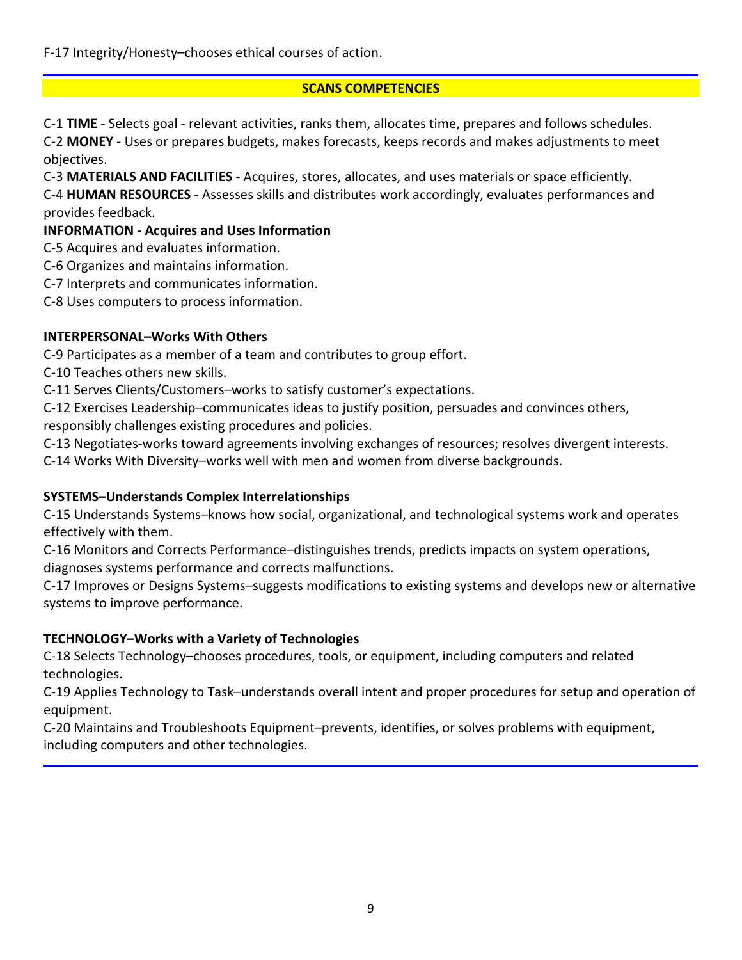F-17 Integrity/Honesty–chooses ethical courses of action.

## **SCANS COMPETENCIES**

C-1 **TIME** - Selects goal - relevant activities, ranks them, allocates time, prepares and follows schedules. C-2 **MONEY** - Uses or prepares budgets, makes forecasts, keeps records and makes adjustments to meet objectives.

C-3 **MATERIALS AND FACILITIES** - Acquires, stores, allocates, and uses materials or space efficiently.

C-4 **HUMAN RESOURCES** - Assesses skills and distributes work accordingly, evaluates performances and provides feedback.

## **INFORMATION - Acquires and Uses Information**

C-5 Acquires and evaluates information.

- C-6 Organizes and maintains information.
- C-7 Interprets and communicates information.

C-8 Uses computers to process information.

## **INTERPERSONAL–Works With Others**

C-9 Participates as a member of a team and contributes to group effort.

C-10 Teaches others new skills.

C-11 Serves Clients/Customers–works to satisfy customer's expectations.

C-12 Exercises Leadership–communicates ideas to justify position, persuades and convinces others, responsibly challenges existing procedures and policies.

C-13 Negotiates-works toward agreements involving exchanges of resources; resolves divergent interests.

C-14 Works With Diversity–works well with men and women from diverse backgrounds.

## **SYSTEMS–Understands Complex Interrelationships**

C-15 Understands Systems–knows how social, organizational, and technological systems work and operates effectively with them.

C-16 Monitors and Corrects Performance–distinguishes trends, predicts impacts on system operations, diagnoses systems performance and corrects malfunctions.

C-17 Improves or Designs Systems–suggests modifications to existing systems and develops new or alternative systems to improve performance.

## **TECHNOLOGY–Works with a Variety of Technologies**

C-18 Selects Technology–chooses procedures, tools, or equipment, including computers and related technologies.

C-19 Applies Technology to Task–understands overall intent and proper procedures for setup and operation of equipment.

C-20 Maintains and Troubleshoots Equipment–prevents, identifies, or solves problems with equipment, including computers and other technologies.